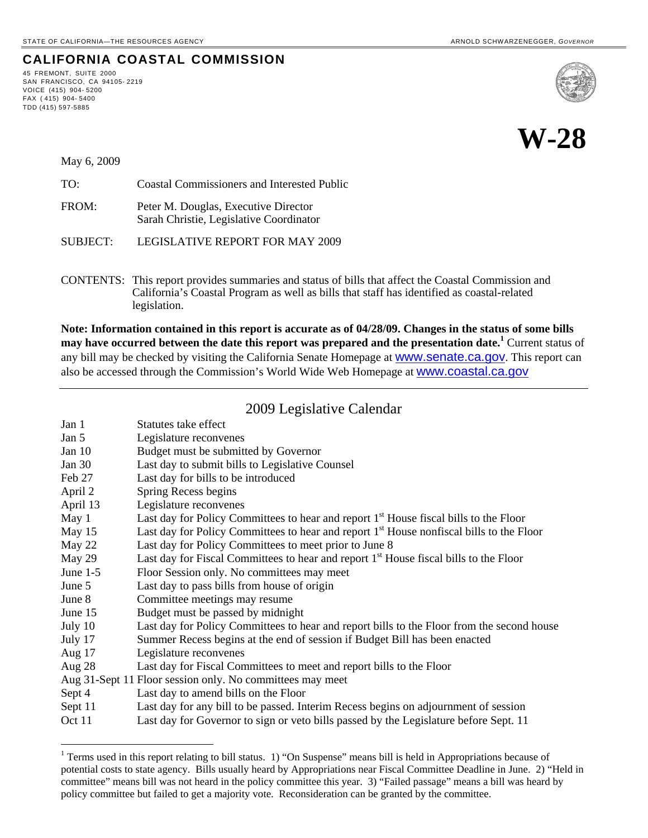## **CALIFORNIA COASTAL COMMISSION**

45 FREMONT, SUITE 2000 SAN FRANCISCO, CA 94105- 2219 VOICE (415) 904- 5200 FAX  $(415)$  904-5400 TDD (415) 597-5885





May 6, 2009

1

| TO:   | <b>Coastal Commissioners and Interested Public</b>                              |
|-------|---------------------------------------------------------------------------------|
| FROM: | Peter M. Douglas, Executive Director<br>Sarah Christie, Legislative Coordinator |

SUBJECT: LEGISLATIVE REPORT FOR MAY 2009

CONTENTS: This report provides summaries and status of bills that affect the Coastal Commission and California's Coastal Program as well as bills that staff has identified as coastal-related legislation.

**Note: Information contained in this report is accurate as of 04/28/09. Changes in the status of some bills may have occurred between the date this report was prepared and the presentation date.[1](#page-0-0)** Current status of any bill may be checked by visiting the California Senate Homepage at **WWW.Senate.ca.gov**. This report can also be accessed through the Commission's World Wide Web Homepage at [www.coastal.ca.gov](http://www.coastal.ca.gov/)

# 2009 Legislative Calendar

| Jan 1      | Statutes take effect                                                                                 |  |
|------------|------------------------------------------------------------------------------------------------------|--|
| Jan 5      | Legislature reconvenes                                                                               |  |
| Jan $10$   | Budget must be submitted by Governor                                                                 |  |
| Jan $30$   | Last day to submit bills to Legislative Counsel                                                      |  |
| Feb 27     | Last day for bills to be introduced                                                                  |  |
| April 2    | Spring Recess begins                                                                                 |  |
| April 13   | Legislature reconvenes                                                                               |  |
| May 1      | Last day for Policy Committees to hear and report 1 <sup>st</sup> House fiscal bills to the Floor    |  |
| May 15     | Last day for Policy Committees to hear and report 1 <sup>st</sup> House nonfiscal bills to the Floor |  |
| May 22     | Last day for Policy Committees to meet prior to June 8                                               |  |
| May 29     | Last day for Fiscal Committees to hear and report 1 <sup>st</sup> House fiscal bills to the Floor    |  |
| June $1-5$ | Floor Session only. No committees may meet                                                           |  |
| June 5     | Last day to pass bills from house of origin                                                          |  |
| June 8     | Committee meetings may resume                                                                        |  |
| June 15    | Budget must be passed by midnight                                                                    |  |
| July 10    | Last day for Policy Committees to hear and report bills to the Floor from the second house           |  |
| July 17    | Summer Recess begins at the end of session if Budget Bill has been enacted                           |  |
| Aug $17$   | Legislature reconvenes                                                                               |  |
| Aug $28$   | Last day for Fiscal Committees to meet and report bills to the Floor                                 |  |
|            | Aug 31-Sept 11 Floor session only. No committees may meet                                            |  |
| Sept 4     | Last day to amend bills on the Floor                                                                 |  |
| Sept 11    | Last day for any bill to be passed. Interim Recess begins on adjournment of session                  |  |
| Oct 11     | Last day for Governor to sign or veto bills passed by the Legislature before Sept. 11                |  |

<span id="page-0-0"></span><sup>&</sup>lt;sup>1</sup> Terms used in this report relating to bill status. 1) "On Suspense" means bill is held in Appropriations because of potential costs to state agency. Bills usually heard by Appropriations near Fiscal Committee Deadline in June. 2) "Held in committee" means bill was not heard in the policy committee this year. 3) "Failed passage" means a bill was heard by policy committee but failed to get a majority vote. Reconsideration can be granted by the committee.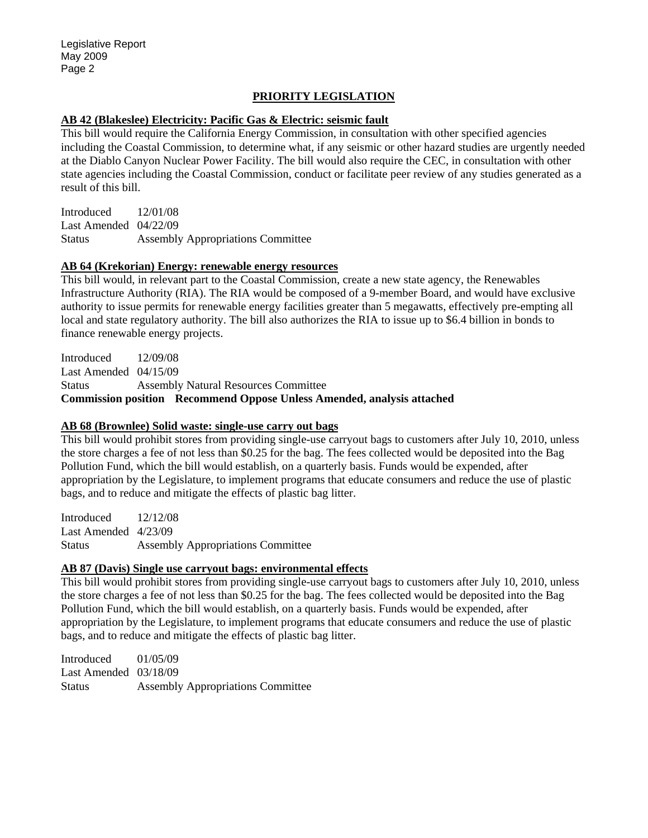## **PRIORITY LEGISLATION**

#### **AB 42 (Blakeslee) Electricity: Pacific Gas & Electric: seismic fault**

This bill would require the California Energy Commission, in consultation with other specified agencies including the Coastal Commission, to determine what, if any seismic or other hazard studies are urgently needed at the Diablo Canyon Nuclear Power Facility. The bill would also require the CEC, in consultation with other state agencies including the Coastal Commission, conduct or facilitate peer review of any studies generated as a result of this bill.

Introduced 12/01/08 Last Amended 04/22/09 Status Assembly Appropriations Committee

#### **AB 64 (Krekorian) Energy: renewable energy resources**

This bill would, in relevant part to the Coastal Commission, create a new state agency, the Renewables Infrastructure Authority (RIA). The RIA would be composed of a 9-member Board, and would have exclusive authority to issue permits for renewable energy facilities greater than 5 megawatts, effectively pre-empting all local and state regulatory authority. The bill also authorizes the RIA to issue up to \$6.4 billion in bonds to finance renewable energy projects.

Introduced 12/09/08 Last Amended 04/15/09 Status Assembly Natural Resources Committee **Commission position Recommend Oppose Unless Amended, analysis attached** 

#### **AB 68 (Brownlee) Solid waste: single-use carry out bags**

This bill would prohibit stores from providing single-use carryout bags to customers after July 10, 2010, unless the store charges a fee of not less than \$0.25 for the bag. The fees collected would be deposited into the Bag Pollution Fund, which the bill would establish, on a quarterly basis. Funds would be expended, after appropriation by the Legislature, to implement programs that educate consumers and reduce the use of plastic bags, and to reduce and mitigate the effects of plastic bag litter.

Introduced 12/12/08 Last Amended 4/23/09 Status Assembly Appropriations Committee

#### **AB 87 (Davis) Single use carryout bags: environmental effects**

This bill would prohibit stores from providing single-use carryout bags to customers after July 10, 2010, unless the store charges a fee of not less than \$0.25 for the bag. The fees collected would be deposited into the Bag Pollution Fund, which the bill would establish, on a quarterly basis. Funds would be expended, after appropriation by the Legislature, to implement programs that educate consumers and reduce the use of plastic bags, and to reduce and mitigate the effects of plastic bag litter.

Introduced 01/05/09 Last Amended 03/18/09 Status Assembly Appropriations Committee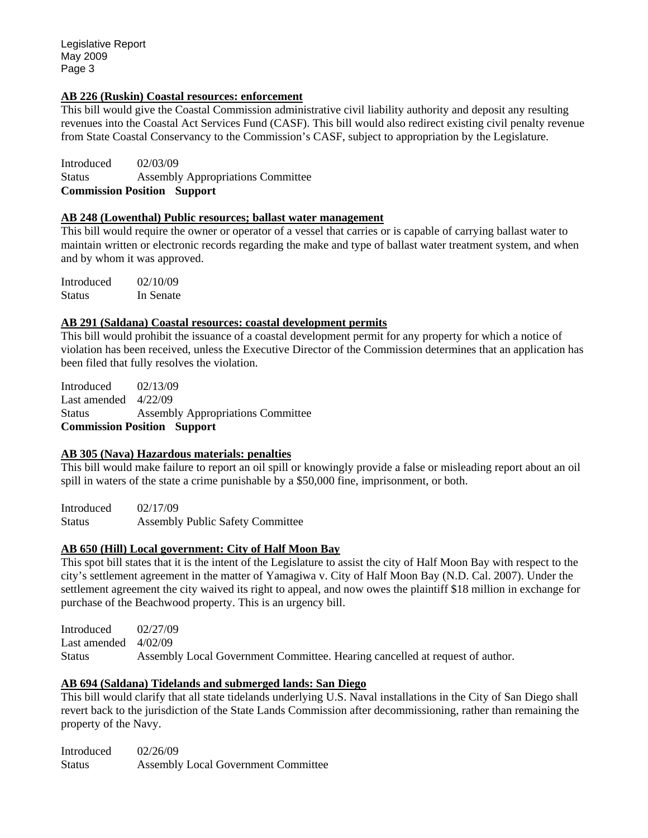### **AB 226 (Ruskin) Coastal resources: enforcement**

This bill would give the Coastal Commission administrative civil liability authority and deposit any resulting revenues into the Coastal Act Services Fund (CASF). This bill would also redirect existing civil penalty revenue from State Coastal Conservancy to the Commission's CASF, subject to appropriation by the Legislature.

Introduced 02/03/09 Status Assembly Appropriations Committee **Commission Position Support** 

#### **AB 248 (Lowenthal) Public resources; ballast water management**

This bill would require the owner or operator of a vessel that carries or is capable of carrying ballast water to maintain written or electronic records regarding the make and type of ballast water treatment system, and when and by whom it was approved.

Introduced 02/10/09 Status In Senate

#### **AB 291 (Saldana) Coastal resources: coastal development permits**

This bill would prohibit the issuance of a coastal development permit for any property for which a notice of violation has been received, unless the Executive Director of the Commission determines that an application has been filed that fully resolves the violation.

Introduced 02/13/09 Last amended  $4/22/09$ Status Assembly Appropriations Committee **Commission Position Support** 

## **AB 305 (Nava) Hazardous materials: penalties**

This bill would make failure to report an oil spill or knowingly provide a false or misleading report about an oil spill in waters of the state a crime punishable by a \$50,000 fine, imprisonment, or both.

Introduced 02/17/09 Status Assembly Public Safety Committee

## **AB 650 (Hill) Local government: City of Half Moon Bay**

This spot bill states that it is the intent of the Legislature to assist the city of Half Moon Bay with respect to the city's settlement agreement in the matter of Yamagiwa v. City of Half Moon Bay (N.D. Cal. 2007). Under the settlement agreement the city waived its right to appeal, and now owes the plaintiff \$18 million in exchange for purchase of the Beachwood property. This is an urgency bill.

Introduced 02/27/09 Last amended 4/02/09 Status Assembly Local Government Committee. Hearing cancelled at request of author.

## **AB 694 (Saldana) Tidelands and submerged lands: San Diego**

This bill would clarify that all state tidelands underlying U.S. Naval installations in the City of San Diego shall revert back to the jurisdiction of the State Lands Commission after decommissioning, rather than remaining the property of the Navy.

Introduced 02/26/09 Status Assembly Local Government Committee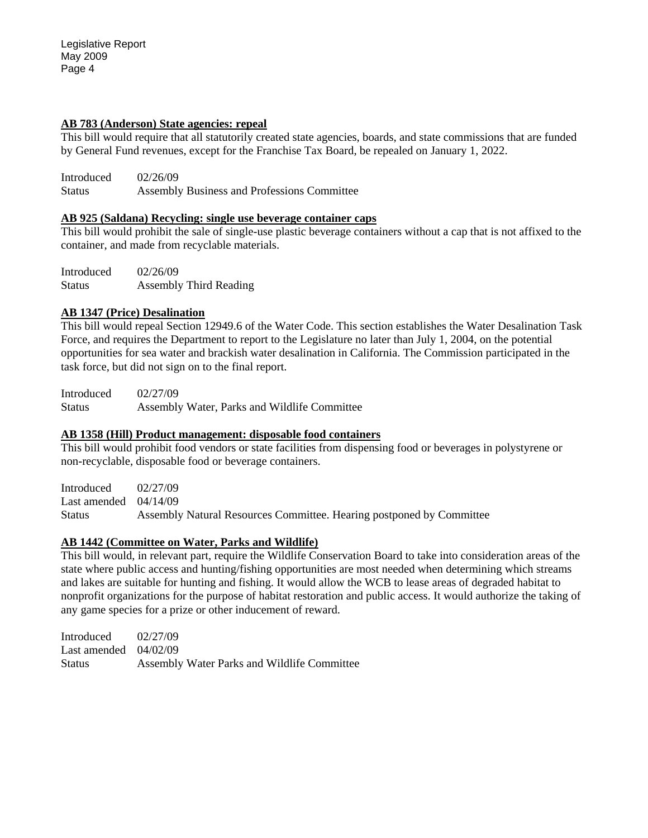#### **AB 783 (Anderson) State agencies: repeal**

This bill would require that all statutorily created state agencies, boards, and state commissions that are funded by General Fund revenues, except for the Franchise Tax Board, be repealed on January 1, 2022.

Introduced 02/26/09 Status Assembly Business and Professions Committee

#### **AB 925 (Saldana) Recycling: single use beverage container caps**

This bill would prohibit the sale of single-use plastic beverage containers without a cap that is not affixed to the container, and made from recyclable materials.

Introduced 02/26/09 Status Assembly Third Reading

#### **AB 1347 (Price) Desalination**

This bill would repeal Section 12949.6 of the Water Code. This section establishes the Water Desalination Task Force, and requires the Department to report to the Legislature no later than July 1, 2004, on the potential opportunities for sea water and brackish water desalination in California. The Commission participated in the task force, but did not sign on to the final report.

Introduced 02/27/09 Status Assembly Water, Parks and Wildlife Committee

## **AB 1358 (Hill) Product management: disposable food containers**

This bill would prohibit food vendors or state facilities from dispensing food or beverages in polystyrene or non-recyclable, disposable food or beverage containers.

Introduced 02/27/09 Last amended 04/14/09 Status Assembly Natural Resources Committee. Hearing postponed by Committee

## **AB 1442 (Committee on Water, Parks and Wildlife)**

This bill would, in relevant part, require the Wildlife Conservation Board to take into consideration areas of the state where public access and hunting/fishing opportunities are most needed when determining which streams and lakes are suitable for hunting and fishing. It would allow the WCB to lease areas of degraded habitat to nonprofit organizations for the purpose of habitat restoration and public access. It would authorize the taking of any game species for a prize or other inducement of reward.

Introduced 02/27/09 Last amended 04/02/09 Status Assembly Water Parks and Wildlife Committee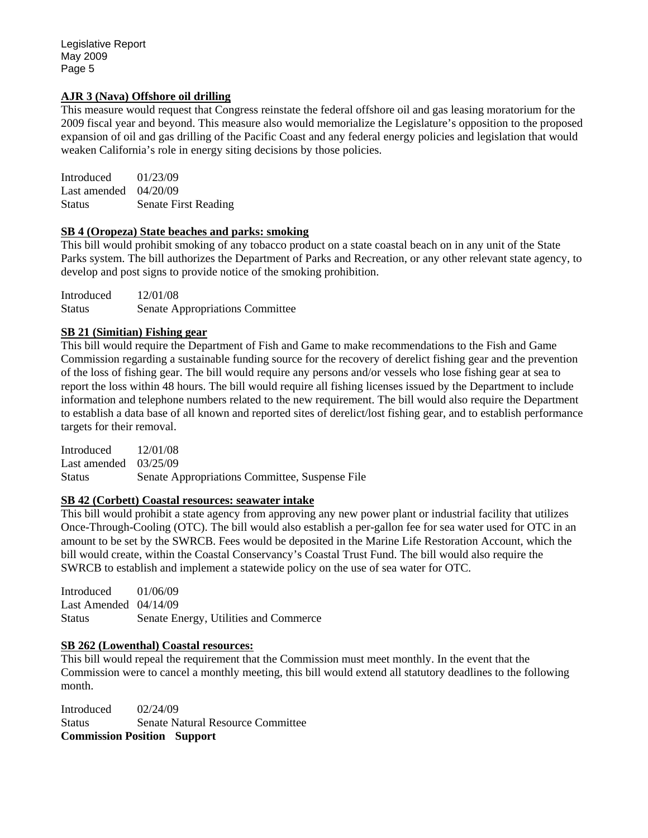### **AJR 3 (Nava) Offshore oil drilling**

This measure would request that Congress reinstate the federal offshore oil and gas leasing moratorium for the 2009 fiscal year and beyond. This measure also would memorialize the Legislature's opposition to the proposed expansion of oil and gas drilling of the Pacific Coast and any federal energy policies and legislation that would weaken California's role in energy siting decisions by those policies.

| Introduced              | 01/23/09                    |
|-------------------------|-----------------------------|
| Last amended $04/20/09$ |                             |
| <b>Status</b>           | <b>Senate First Reading</b> |

#### **SB 4 (Oropeza) State beaches and parks: smoking**

This bill would prohibit smoking of any tobacco product on a state coastal beach on in any unit of the State Parks system. The bill authorizes the Department of Parks and Recreation, or any other relevant state agency, to develop and post signs to provide notice of the smoking prohibition.

Introduced 12/01/08 Status Senate Appropriations Committee

## **SB 21 (Simitian) Fishing gear**

This bill would require the Department of Fish and Game to make recommendations to the Fish and Game Commission regarding a sustainable funding source for the recovery of derelict fishing gear and the prevention of the loss of fishing gear. The bill would require any persons and/or vessels who lose fishing gear at sea to report the loss within 48 hours. The bill would require all fishing licenses issued by the Department to include information and telephone numbers related to the new requirement. The bill would also require the Department to establish a data base of all known and reported sites of derelict/lost fishing gear, and to establish performance targets for their removal.

Introduced 12/01/08 Last amended 03/25/09 Status Senate Appropriations Committee, Suspense File

#### **SB 42 (Corbett) Coastal resources: seawater intake**

This bill would prohibit a state agency from approving any new power plant or industrial facility that utilizes Once-Through-Cooling (OTC). The bill would also establish a per-gallon fee for sea water used for OTC in an amount to be set by the SWRCB. Fees would be deposited in the Marine Life Restoration Account, which the bill would create, within the Coastal Conservancy's Coastal Trust Fund. The bill would also require the SWRCB to establish and implement a statewide policy on the use of sea water for OTC.

Introduced 01/06/09 Last Amended 04/14/09 Status Senate Energy, Utilities and Commerce

## **SB 262 (Lowenthal) Coastal resources:**

This bill would repeal the requirement that the Commission must meet monthly. In the event that the Commission were to cancel a monthly meeting, this bill would extend all statutory deadlines to the following month.

Introduced 02/24/09 Status Senate Natural Resource Committee **Commission Position Support**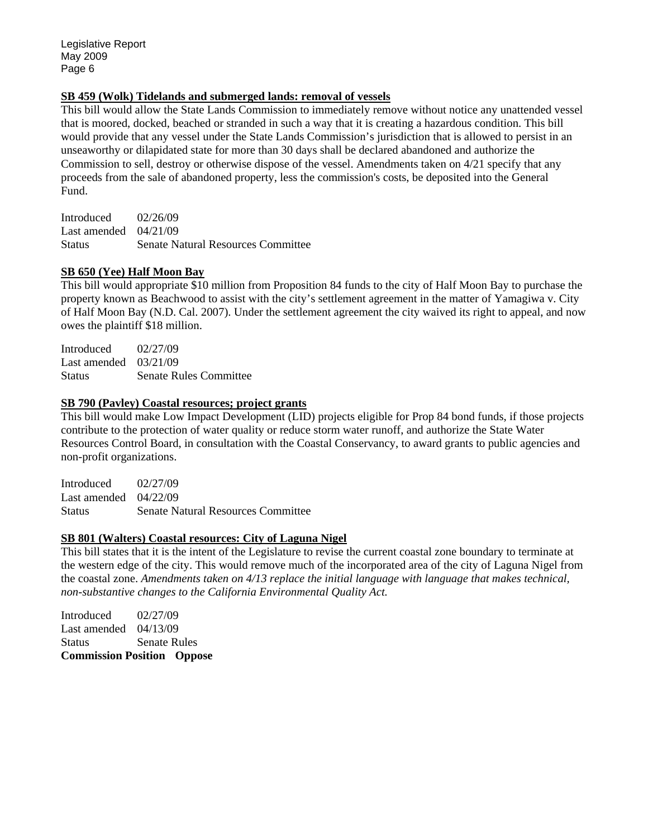#### **SB 459 (Wolk) Tidelands and submerged lands: removal of vessels**

This bill would allow the State Lands Commission to immediately remove without notice any unattended vessel that is moored, docked, beached or stranded in such a way that it is creating a hazardous condition. This bill would provide that any vessel under the State Lands Commission's jurisdiction that is allowed to persist in an unseaworthy or dilapidated state for more than 30 days shall be declared abandoned and authorize the Commission to sell, destroy or otherwise dispose of the vessel. Amendments taken on 4/21 specify that any proceeds from the sale of abandoned property, less the commission's costs, be deposited into the General Fund.

Introduced 02/26/09 Last amended 04/21/09 Status Senate Natural Resources Committee

#### **SB 650 (Yee) Half Moon Bay**

This bill would appropriate \$10 million from Proposition 84 funds to the city of Half Moon Bay to purchase the property known as Beachwood to assist with the city's settlement agreement in the matter of Yamagiwa v. City of Half Moon Bay (N.D. Cal. 2007). Under the settlement agreement the city waived its right to appeal, and now owes the plaintiff \$18 million.

Introduced 02/27/09 Last amended 03/21/09 Status Senate Rules Committee

#### **SB 790 (Pavley) Coastal resources; project grants**

This bill would make Low Impact Development (LID) projects eligible for Prop 84 bond funds, if those projects contribute to the protection of water quality or reduce storm water runoff, and authorize the State Water Resources Control Board, in consultation with the Coastal Conservancy, to award grants to public agencies and non-profit organizations.

Introduced 02/27/09 Last amended 04/22/09 Status Senate Natural Resources Committee

#### **SB 801 (Walters) Coastal resources: City of Laguna Nigel**

This bill states that it is the intent of the Legislature to revise the current coastal zone boundary to terminate at the western edge of the city. This would remove much of the incorporated area of the city of Laguna Nigel from the coastal zone. *Amendments taken on 4/13 replace the initial language with language that makes technical, non-substantive changes to the California Environmental Quality Act.* 

Introduced 02/27/09 Last amended 04/13/09 Status Senate Rules **Commission Position Oppose**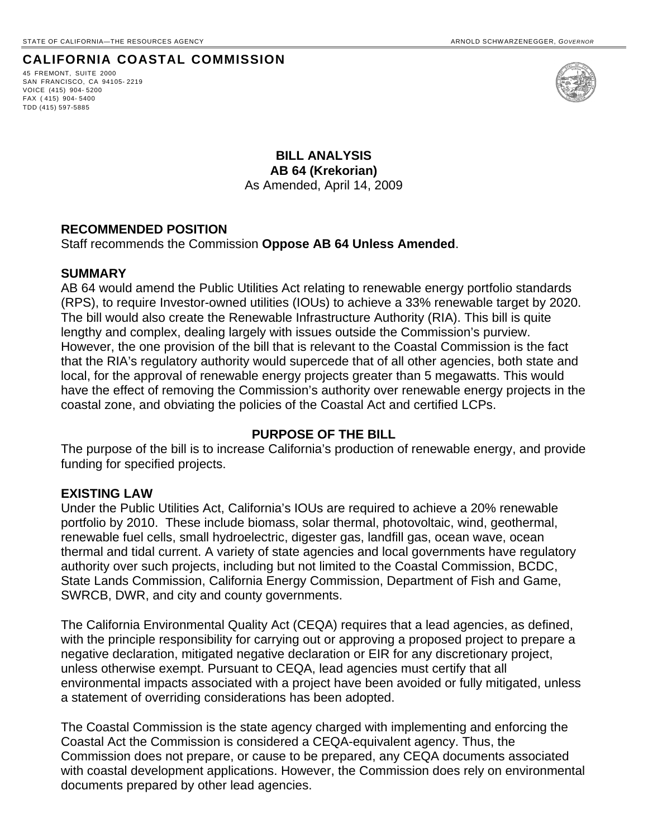# **CALIFORNIA COASTAL COMMISSION**

45 FREMONT, SUITE 2000 SAN FRANCISCO, CA 94105- 2219 VOICE (415) 904- 5200 FAX ( 415) 904- 5400 TDD (415) 597-5885



**BILL ANALYSIS AB 64 (Krekorian)**  As Amended, April 14, 2009

#### **RECOMMENDED POSITION**

Staff recommends the Commission **Oppose AB 64 Unless Amended**.

#### **SUMMARY**

AB 64 would amend the Public Utilities Act relating to renewable energy portfolio standards (RPS), to require Investor-owned utilities (IOUs) to achieve a 33% renewable target by 2020. The bill would also create the Renewable Infrastructure Authority (RIA). This bill is quite lengthy and complex, dealing largely with issues outside the Commission's purview. However, the one provision of the bill that is relevant to the Coastal Commission is the fact that the RIA's regulatory authority would supercede that of all other agencies, both state and local, for the approval of renewable energy projects greater than 5 megawatts. This would have the effect of removing the Commission's authority over renewable energy projects in the coastal zone, and obviating the policies of the Coastal Act and certified LCPs.

## **PURPOSE OF THE BILL**

The purpose of the bill is to increase California's production of renewable energy, and provide funding for specified projects.

# **EXISTING LAW**

Under the Public Utilities Act, California's IOUs are required to achieve a 20% renewable portfolio by 2010. These include biomass, solar thermal, photovoltaic, wind, geothermal, renewable fuel cells, small hydroelectric, digester gas, landfill gas, ocean wave, ocean thermal and tidal current. A variety of state agencies and local governments have regulatory authority over such projects, including but not limited to the Coastal Commission, BCDC, State Lands Commission, California Energy Commission, Department of Fish and Game, SWRCB, DWR, and city and county governments.

The California Environmental Quality Act (CEQA) requires that a lead agencies, as defined, with the principle responsibility for carrying out or approving a proposed project to prepare a negative declaration, mitigated negative declaration or EIR for any discretionary project, unless otherwise exempt. Pursuant to CEQA, lead agencies must certify that all environmental impacts associated with a project have been avoided or fully mitigated, unless a statement of overriding considerations has been adopted.

The Coastal Commission is the state agency charged with implementing and enforcing the Coastal Act the Commission is considered a CEQA-equivalent agency. Thus, the Commission does not prepare, or cause to be prepared, any CEQA documents associated with coastal development applications. However, the Commission does rely on environmental documents prepared by other lead agencies.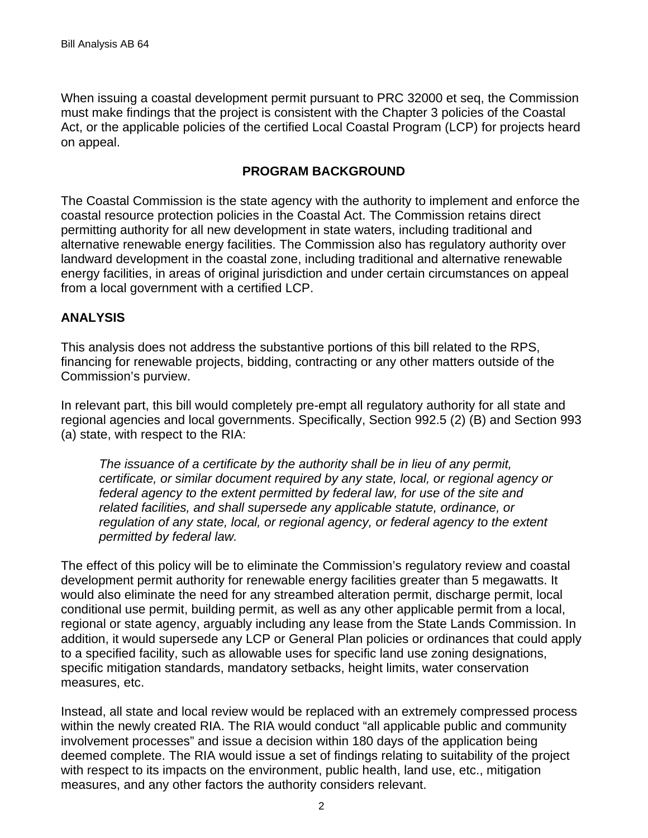When issuing a coastal development permit pursuant to PRC 32000 et seq, the Commission must make findings that the project is consistent with the Chapter 3 policies of the Coastal Act, or the applicable policies of the certified Local Coastal Program (LCP) for projects heard on appeal.

# **PROGRAM BACKGROUND**

The Coastal Commission is the state agency with the authority to implement and enforce the coastal resource protection policies in the Coastal Act. The Commission retains direct permitting authority for all new development in state waters, including traditional and alternative renewable energy facilities. The Commission also has regulatory authority over landward development in the coastal zone, including traditional and alternative renewable energy facilities, in areas of original jurisdiction and under certain circumstances on appeal from a local government with a certified LCP.

# **ANALYSIS**

This analysis does not address the substantive portions of this bill related to the RPS, financing for renewable projects, bidding, contracting or any other matters outside of the Commission's purview.

In relevant part, this bill would completely pre-empt all regulatory authority for all state and regional agencies and local governments. Specifically, Section 992.5 (2) (B) and Section 993 (a) state, with respect to the RIA:

*The issuance of a certificate by the authority shall be in lieu of any permit, certificate, or similar document required by any state, local, or regional agency or federal agency to the extent permitted by federal law, for use of the site and related facilities, and shall supersede any applicable statute, ordinance, or regulation of any state, local, or regional agency, or federal agency to the extent permitted by federal law.* 

The effect of this policy will be to eliminate the Commission's regulatory review and coastal development permit authority for renewable energy facilities greater than 5 megawatts. It would also eliminate the need for any streambed alteration permit, discharge permit, local conditional use permit, building permit, as well as any other applicable permit from a local, regional or state agency, arguably including any lease from the State Lands Commission. In addition, it would supersede any LCP or General Plan policies or ordinances that could apply to a specified facility, such as allowable uses for specific land use zoning designations, specific mitigation standards, mandatory setbacks, height limits, water conservation measures, etc.

Instead, all state and local review would be replaced with an extremely compressed process within the newly created RIA. The RIA would conduct "all applicable public and community involvement processes" and issue a decision within 180 days of the application being deemed complete. The RIA would issue a set of findings relating to suitability of the project with respect to its impacts on the environment, public health, land use, etc., mitigation measures, and any other factors the authority considers relevant.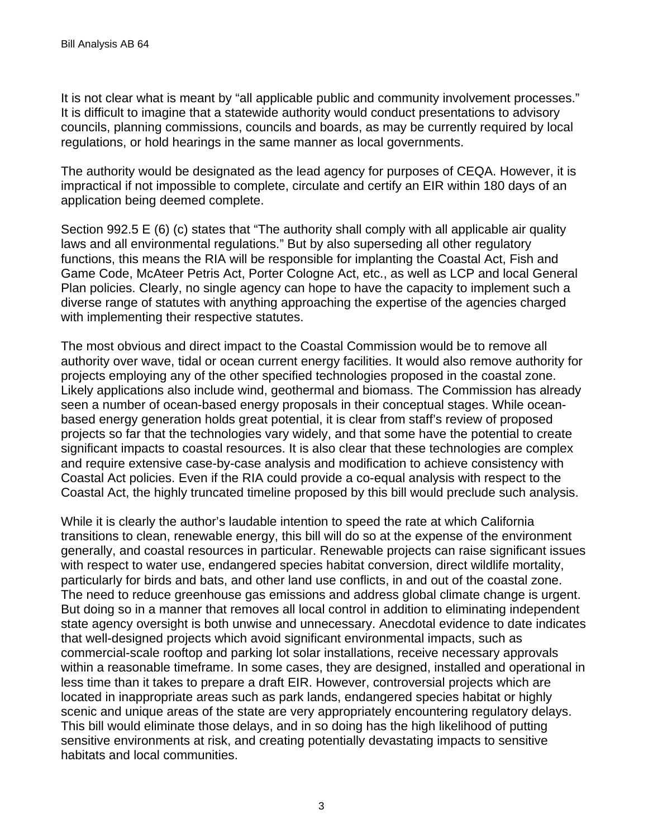It is not clear what is meant by "all applicable public and community involvement processes." It is difficult to imagine that a statewide authority would conduct presentations to advisory councils, planning commissions, councils and boards, as may be currently required by local regulations, or hold hearings in the same manner as local governments.

The authority would be designated as the lead agency for purposes of CEQA. However, it is impractical if not impossible to complete, circulate and certify an EIR within 180 days of an application being deemed complete.

Section 992.5 E (6) (c) states that "The authority shall comply with all applicable air quality laws and all environmental regulations." But by also superseding all other regulatory functions, this means the RIA will be responsible for implanting the Coastal Act, Fish and Game Code, McAteer Petris Act, Porter Cologne Act, etc., as well as LCP and local General Plan policies. Clearly, no single agency can hope to have the capacity to implement such a diverse range of statutes with anything approaching the expertise of the agencies charged with implementing their respective statutes.

The most obvious and direct impact to the Coastal Commission would be to remove all authority over wave, tidal or ocean current energy facilities. It would also remove authority for projects employing any of the other specified technologies proposed in the coastal zone. Likely applications also include wind, geothermal and biomass. The Commission has already seen a number of ocean-based energy proposals in their conceptual stages. While oceanbased energy generation holds great potential, it is clear from staff's review of proposed projects so far that the technologies vary widely, and that some have the potential to create significant impacts to coastal resources. It is also clear that these technologies are complex and require extensive case-by-case analysis and modification to achieve consistency with Coastal Act policies. Even if the RIA could provide a co-equal analysis with respect to the Coastal Act, the highly truncated timeline proposed by this bill would preclude such analysis.

While it is clearly the author's laudable intention to speed the rate at which California transitions to clean, renewable energy, this bill will do so at the expense of the environment generally, and coastal resources in particular. Renewable projects can raise significant issues with respect to water use, endangered species habitat conversion, direct wildlife mortality, particularly for birds and bats, and other land use conflicts, in and out of the coastal zone. The need to reduce greenhouse gas emissions and address global climate change is urgent. But doing so in a manner that removes all local control in addition to eliminating independent state agency oversight is both unwise and unnecessary. Anecdotal evidence to date indicates that well-designed projects which avoid significant environmental impacts, such as commercial-scale rooftop and parking lot solar installations, receive necessary approvals within a reasonable timeframe. In some cases, they are designed, installed and operational in less time than it takes to prepare a draft EIR. However, controversial projects which are located in inappropriate areas such as park lands, endangered species habitat or highly scenic and unique areas of the state are very appropriately encountering regulatory delays. This bill would eliminate those delays, and in so doing has the high likelihood of putting sensitive environments at risk, and creating potentially devastating impacts to sensitive habitats and local communities.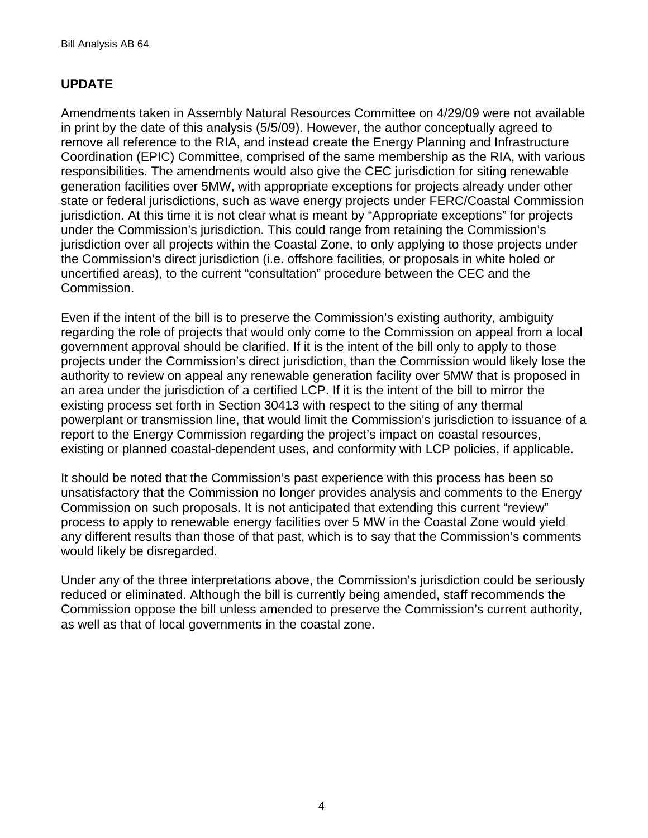# **UPDATE**

Amendments taken in Assembly Natural Resources Committee on 4/29/09 were not available in print by the date of this analysis (5/5/09). However, the author conceptually agreed to remove all reference to the RIA, and instead create the Energy Planning and Infrastructure Coordination (EPIC) Committee, comprised of the same membership as the RIA, with various responsibilities. The amendments would also give the CEC jurisdiction for siting renewable generation facilities over 5MW, with appropriate exceptions for projects already under other state or federal jurisdictions, such as wave energy projects under FERC/Coastal Commission jurisdiction. At this time it is not clear what is meant by "Appropriate exceptions" for projects under the Commission's jurisdiction. This could range from retaining the Commission's jurisdiction over all projects within the Coastal Zone, to only applying to those projects under the Commission's direct jurisdiction (i.e. offshore facilities, or proposals in white holed or uncertified areas), to the current "consultation" procedure between the CEC and the Commission.

Even if the intent of the bill is to preserve the Commission's existing authority, ambiguity regarding the role of projects that would only come to the Commission on appeal from a local government approval should be clarified. If it is the intent of the bill only to apply to those projects under the Commission's direct jurisdiction, than the Commission would likely lose the authority to review on appeal any renewable generation facility over 5MW that is proposed in an area under the jurisdiction of a certified LCP. If it is the intent of the bill to mirror the existing process set forth in Section 30413 with respect to the siting of any thermal powerplant or transmission line, that would limit the Commission's jurisdiction to issuance of a report to the Energy Commission regarding the project's impact on coastal resources, existing or planned coastal-dependent uses, and conformity with LCP policies, if applicable.

It should be noted that the Commission's past experience with this process has been so unsatisfactory that the Commission no longer provides analysis and comments to the Energy Commission on such proposals. It is not anticipated that extending this current "review" process to apply to renewable energy facilities over 5 MW in the Coastal Zone would yield any different results than those of that past, which is to say that the Commission's comments would likely be disregarded.

Under any of the three interpretations above, the Commission's jurisdiction could be seriously reduced or eliminated. Although the bill is currently being amended, staff recommends the Commission oppose the bill unless amended to preserve the Commission's current authority, as well as that of local governments in the coastal zone.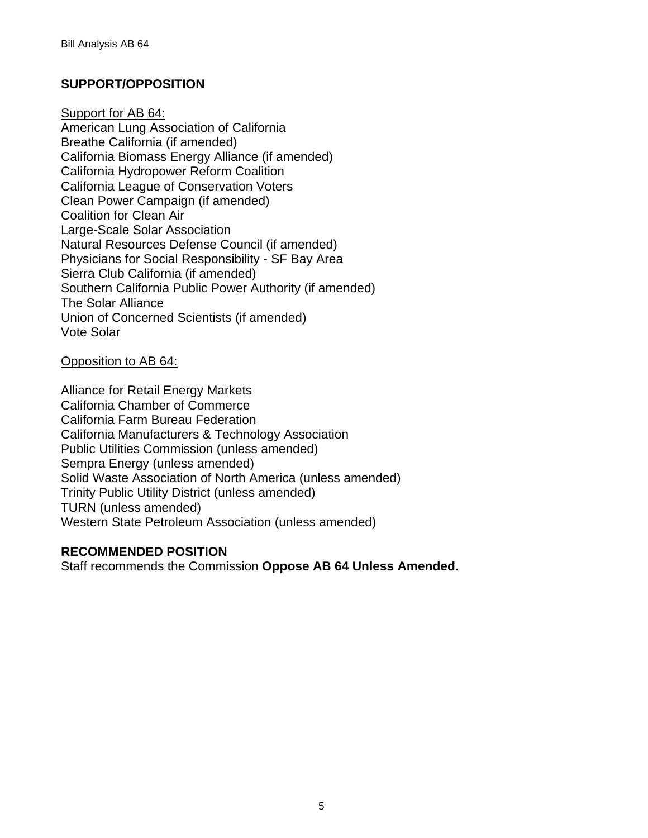# **SUPPORT/OPPOSITION**

Support for AB 64:

American Lung Association of California Breathe California (if amended) California Biomass Energy Alliance (if amended) California Hydropower Reform Coalition California League of Conservation Voters Clean Power Campaign (if amended) Coalition for Clean Air Large-Scale Solar Association Natural Resources Defense Council (if amended) Physicians for Social Responsibility - SF Bay Area Sierra Club California (if amended) Southern California Public Power Authority (if amended) The Solar Alliance Union of Concerned Scientists (if amended) Vote Solar

## Opposition to AB 64:

Alliance for Retail Energy Markets California Chamber of Commerce California Farm Bureau Federation California Manufacturers & Technology Association Public Utilities Commission (unless amended) Sempra Energy (unless amended) Solid Waste Association of North America (unless amended) Trinity Public Utility District (unless amended) TURN (unless amended) Western State Petroleum Association (unless amended)

# **RECOMMENDED POSITION**

Staff recommends the Commission **Oppose AB 64 Unless Amended**.